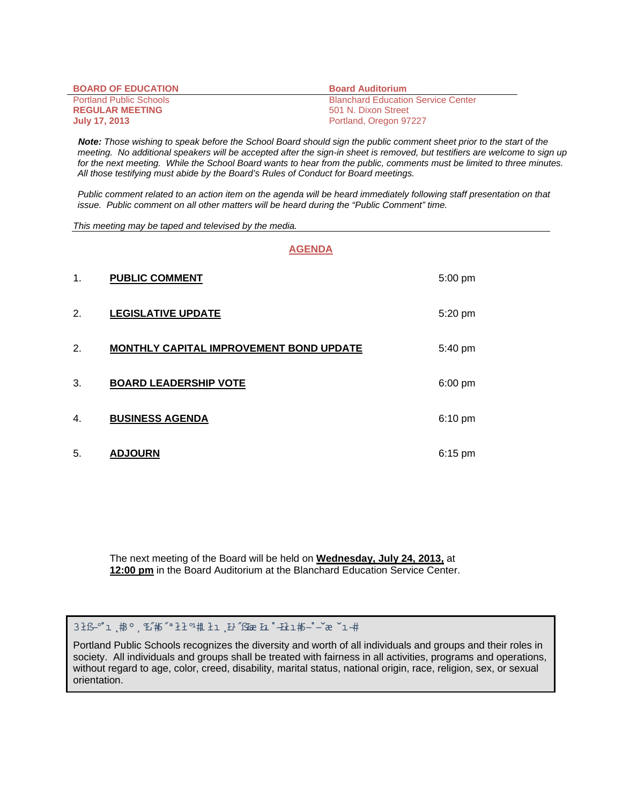| <b>BOARD OF EDUCATION</b>      | <b>Board Auditorium</b>                   |
|--------------------------------|-------------------------------------------|
| <b>Portland Public Schools</b> | <b>Blanchard Education Service Center</b> |
| <b>REGULAR MEETING</b>         | 501 N. Dixon Street                       |
| <b>July 17, 2013</b>           | Portland, Oregon 97227                    |

 *Note: Those wishing to speak before the School Board should sign the public comment sheet prior to the start of the meeting. No additional speakers will be accepted after the sign-in sheet is removed, but testifiers are welcome to sign up for the next meeting. While the School Board wants to hear from the public, comments must be limited to three minutes. All those testifying must abide by the Board's Rules of Conduct for Board meetings.* 

 *Public comment related to an action item on the agenda will be heard immediately following staff presentation on that issue. Public comment on all other matters will be heard during the "Public Comment" time.* 

*This meeting may be taped and televised by the media.* 

#### **AGENDA**

| 1. | <b>PUBLIC COMMENT</b>                          | 5:00 pm |
|----|------------------------------------------------|---------|
| 2. | <b>LEGISLATIVE UPDATE</b>                      | 5:20 pm |
| 2. | <b>MONTHLY CAPITAL IMPROVEMENT BOND UPDATE</b> | 5:40 pm |
| 3. | <b>BOARD LEADERSHIP VOTE</b>                   | 6:00 pm |
| 4. | <b>BUSINESS AGENDA</b>                         | 6:10 pm |
| 5. | <b>ADJOURN</b>                                 | 6:15 pm |

The next meeting of the Board will be held on **Wednesday, July 24, 2013,** at **12:00 pm** in the Board Auditorium at the Blanchard Education Service Center.

Portland Public Schools recognizes the diversity and worth of all individuals and groups and their roles in society. All individuals and groups shall be treated with fairness in all activities, programs and operations, without regard to age, color, creed, disability, marital status, national origin, race, religion, sex, or sexual orientation.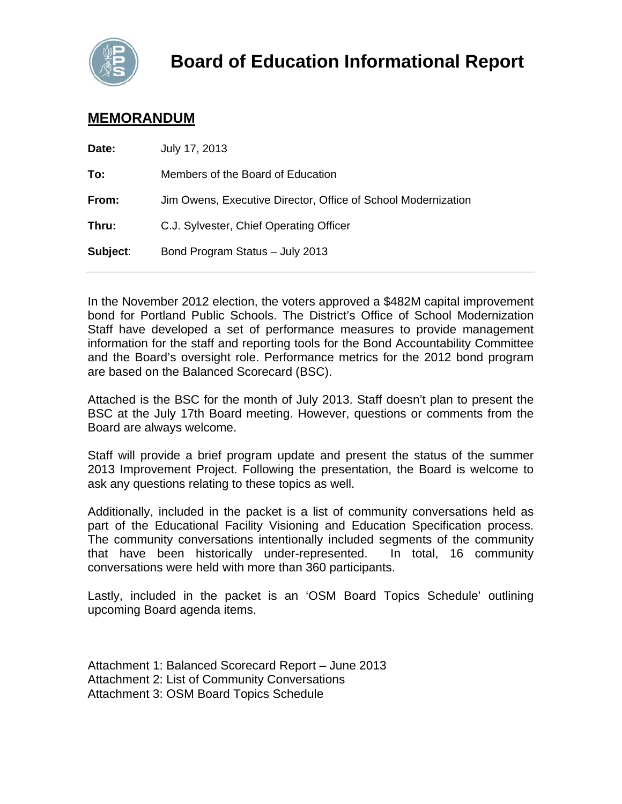

# **MEMORANDUM**

| Date:    | July 17, 2013                                                 |
|----------|---------------------------------------------------------------|
| To:      | Members of the Board of Education                             |
| From:    | Jim Owens, Executive Director, Office of School Modernization |
| Thru:    | C.J. Sylvester, Chief Operating Officer                       |
| Subject: | Bond Program Status - July 2013                               |
|          |                                                               |

In the November 2012 election, the voters approved a \$482M capital improvement bond for Portland Public Schools. The District's Office of School Modernization Staff have developed a set of performance measures to provide management information for the staff and reporting tools for the Bond Accountability Committee and the Board's oversight role. Performance metrics for the 2012 bond program are based on the Balanced Scorecard (BSC).

Attached is the BSC for the month of July 2013. Staff doesn't plan to present the BSC at the July 17th Board meeting. However, questions or comments from the Board are always welcome.

Staff will provide a brief program update and present the status of the summer 2013 Improvement Project. Following the presentation, the Board is welcome to ask any questions relating to these topics as well.

Additionally, included in the packet is a list of community conversations held as part of the Educational Facility Visioning and Education Specification process. The community conversations intentionally included segments of the community that have been historically under-represented. In total, 16 community conversations were held with more than 360 participants.

Lastly, included in the packet is an 'OSM Board Topics Schedule' outlining upcoming Board agenda items.

Attachment 1: Balanced Scorecard Report – June 2013 Attachment 2: List of Community Conversations Attachment 3: OSM Board Topics Schedule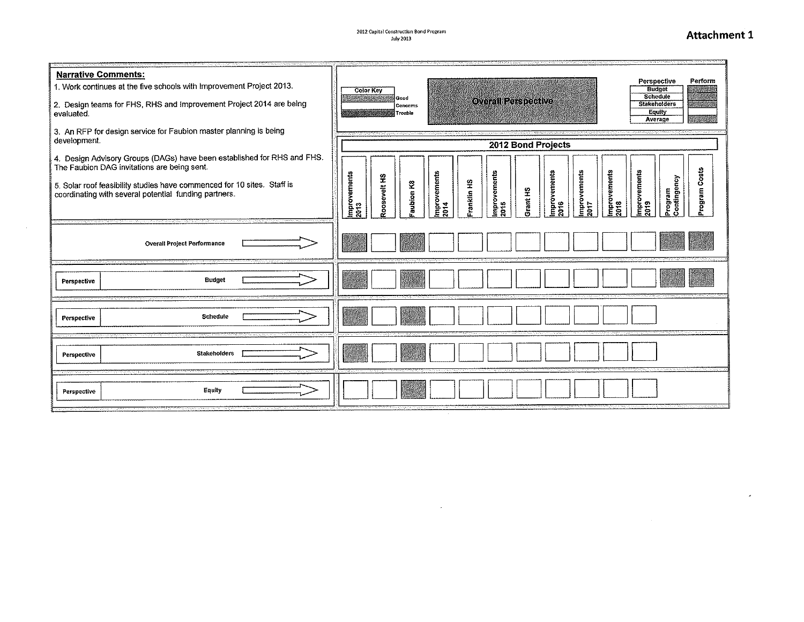# Attachment 1

 $\sim$ 

| <b>Narrative Comments:</b><br>1. Work continues at the five schools with Improvement Project 2013.<br>2. Design teams for FHS, RHS and Improvement Project 2014 are being<br>evaluated.<br>3. An RFP for design service for Faubion master planning is being<br>development. | Perspective<br>Perform<br><b>Budget</b><br><b>Color Key</b><br>Schedule<br>Good<br><b>Overall Perspective</b><br><b>Stakeholders</b><br>Concerns<br>Equity<br>Trouble<br>Average<br>2012 Bond Projects                                                                              |  |  |  |  |  |  |  |  |
|------------------------------------------------------------------------------------------------------------------------------------------------------------------------------------------------------------------------------------------------------------------------------|-------------------------------------------------------------------------------------------------------------------------------------------------------------------------------------------------------------------------------------------------------------------------------------|--|--|--|--|--|--|--|--|
| 4. Design Advisory Groups (DAGs) have been established for RHS and FHS.<br>The Faubion DAG invitations are being sent.<br>5. Solar roof feasibility studies have commenced for 10 sites. Staff is<br>coordinating with several potential funding partners.                   | rogram Costs<br>Improvements<br>2017<br>mprovements<br>Improvements<br><b>Improvements</b><br>2016<br>İmprovements<br>2015<br>Improvements<br>2013<br>mprovements<br>Roosevelt HS<br>Program<br>Contingency<br>Franklin HS<br>Faubion K8<br>Grant HS<br>2018<br><b>2019</b><br>2014 |  |  |  |  |  |  |  |  |
| <b>Overall Project Performance</b>                                                                                                                                                                                                                                           |                                                                                                                                                                                                                                                                                     |  |  |  |  |  |  |  |  |
| Budget<br>Perspective                                                                                                                                                                                                                                                        |                                                                                                                                                                                                                                                                                     |  |  |  |  |  |  |  |  |
| Schedule<br>Perspective                                                                                                                                                                                                                                                      |                                                                                                                                                                                                                                                                                     |  |  |  |  |  |  |  |  |
| <b>Stakeholders</b><br>Perspective                                                                                                                                                                                                                                           |                                                                                                                                                                                                                                                                                     |  |  |  |  |  |  |  |  |
| Equity<br>Perspective                                                                                                                                                                                                                                                        |                                                                                                                                                                                                                                                                                     |  |  |  |  |  |  |  |  |

 $\mathcal{L}^{\text{max}}_{\text{max}}$  and  $\mathcal{L}^{\text{max}}_{\text{max}}$ 

 $\mathcal{L}^{\text{max}}_{\text{max}}$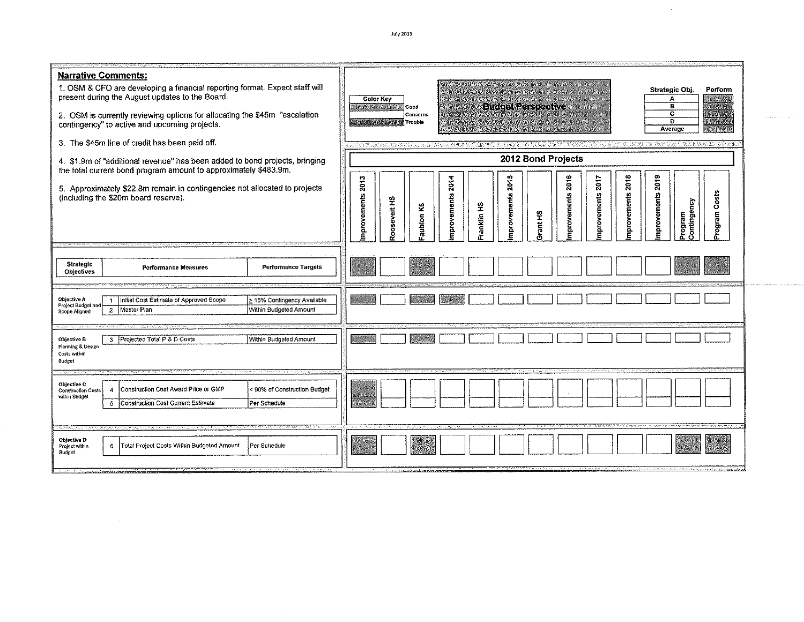**July 2013** 

 $\sim 10^{-1}$ 

r maara $\alpha$ a ( $\alpha$ 

| <b>Narrative Comments:</b><br>1. OSM & CFO are developing a financial reporting format. Expect staff will<br>present during the August updates to the Board.<br>2. OSM is currently reviewing options for allocating the \$45m "escalation<br>contingency" to active and upcoming projects.<br>3. The \$45m line of credit has been paid off.<br>4. \$1.9m of "additional revenue" has been added to bond projects, bringing | Strategic Obj<br>Perform<br><b>Color Key</b><br>А<br><b>Budget Perspective</b><br>в<br>Good<br>c<br>Concerns<br>D<br>Trouble<br>Average<br>2012 Bond Projects                                                                                                     |  |  |  |  |  |  |  |  |  |
|------------------------------------------------------------------------------------------------------------------------------------------------------------------------------------------------------------------------------------------------------------------------------------------------------------------------------------------------------------------------------------------------------------------------------|-------------------------------------------------------------------------------------------------------------------------------------------------------------------------------------------------------------------------------------------------------------------|--|--|--|--|--|--|--|--|--|
| the total current bond program amount to approximately \$483.9m.<br>5. Approximately \$22.8m remain in contingencies not allocated to projects<br>(including the \$20m board reserve).<br>Strategic                                                                                                                                                                                                                          | mprovements 2018<br>2019<br>2015<br>2016<br>mprovements 2013<br>mprovements 2014<br>2017<br>Program Costs<br>nprovements<br>mprovements<br>nprovements<br>mprovements<br>oosevelt <sub>HS</sub><br>Program<br>Contingency<br>Franklin HS<br>aubion K8<br>Grant HS |  |  |  |  |  |  |  |  |  |
| <b>Performance Targets</b><br><b>Performance Measures</b><br><b>Objectives</b><br><b>Objective A</b><br>> 15% Contingency Available<br>Initial Cost Estimate of Approved Scope<br>$\overline{1}$<br>Project Budget and<br>Within Budgeted Amount<br>Master Plan<br>$\overline{a}$<br>Scope Aligned<br>Within Budgeted Amount<br>Objective B<br>3 Projected Total P & D Costs<br>Planning & Design                            |                                                                                                                                                                                                                                                                   |  |  |  |  |  |  |  |  |  |
| Costs within<br>Budget<br>Objective C<br>Construction Cost Award Price or GMP<br>90% of Construction Budget<br><b>Construction Costs</b><br>4<br>within Budget<br>Construction Cost Current Estimate<br>Per Schedule<br>5                                                                                                                                                                                                    |                                                                                                                                                                                                                                                                   |  |  |  |  |  |  |  |  |  |
| Objective D<br>Total Project Costs Within Budgeted Amount<br>Per Schedule<br>Project within<br>6<br>Budget                                                                                                                                                                                                                                                                                                                   |                                                                                                                                                                                                                                                                   |  |  |  |  |  |  |  |  |  |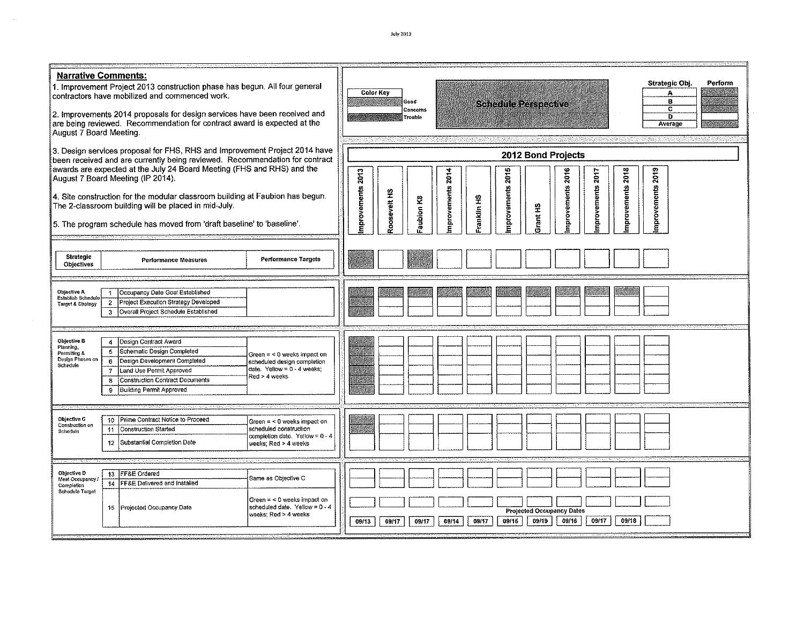| <b>Narrative Comments:</b>                                               |                                                                      | 1. Improvement Project 2013 construction phase has begun. All four general<br>contractors have mobilized and commenced work.                                                                                                                                             |                                                                                                                  | <b>Color Key</b>                                                        |             | Good      |                  |             |             |                                           |             |                  |                  |                  | Strategic Obj.<br>А<br>в | Perform |
|--------------------------------------------------------------------------|----------------------------------------------------------------------|--------------------------------------------------------------------------------------------------------------------------------------------------------------------------------------------------------------------------------------------------------------------------|------------------------------------------------------------------------------------------------------------------|-------------------------------------------------------------------------|-------------|-----------|------------------|-------------|-------------|-------------------------------------------|-------------|------------------|------------------|------------------|--------------------------|---------|
| August 7 Board Meeting.                                                  |                                                                      | 2. Improvements 2014 proposals for design services have been received and<br>are being reviewed. Recommendation for contract award is expected at the                                                                                                                    |                                                                                                                  | <b>Schedule Perspective</b><br>c<br>Concerns<br>D<br>Trouble<br>Average |             |           |                  |             |             |                                           |             |                  |                  |                  |                          |         |
|                                                                          |                                                                      | 3. Design services proposal for FHS, RHS and Improvement Project 2014 have<br>been received and are currently being reviewed. Recommendation for contract<br>awards are expected at the July 24 Board Meeting (FHS and RHS) and the<br>August 7 Board Meeting (IP 2014). |                                                                                                                  | 2013                                                                    |             |           |                  |             | 2015        | 2012 Bond Projects                        | 2016        |                  |                  |                  |                          |         |
|                                                                          |                                                                      | 4. Site construction for the modular classroom building at Faubion has begun.<br>The 2-classroom building will be placed in mid-July.<br>5. The program schedule has moved from 'draft baseline' to 'baseline'.                                                          |                                                                                                                  | improvements                                                            | cosevelt HS | autoin K8 | mprovements 2014 | Franklin HS | mprovements | <b>GH</b> trant                           | mprovements | mprovements 2017 | mprovements 2018 | mprovements 2019 |                          |         |
|                                                                          |                                                                      |                                                                                                                                                                                                                                                                          |                                                                                                                  |                                                                         |             |           |                  |             |             |                                           |             |                  |                  |                  |                          |         |
| Strategic<br>Objectives                                                  |                                                                      | Performance Measures                                                                                                                                                                                                                                                     | <b>Performance Targets</b>                                                                                       |                                                                         |             |           |                  |             |             |                                           |             |                  |                  |                  |                          |         |
| Objective A<br>Establish Schedule<br><b>Target &amp; Strategy</b>        | -1<br>$\overline{2}$<br>3                                            | Occupancy Date Goal Established<br>Project Execution Strategy Developed<br>Overall Project Schedule Established                                                                                                                                                          |                                                                                                                  |                                                                         |             |           |                  |             |             |                                           |             |                  |                  |                  |                          |         |
| Objective B<br>Planning,<br>Permitting &<br>Design Phases on<br>Schedule | $\pmb{\mathcal{L}}$<br>5<br>$\mathfrak{S}$<br>$\mathbf{7}$<br>8<br>9 | Design Contract Award<br>Schematic Design Completed<br>Design Development Completed<br>Land Use Permit Approved<br>Construction Contract Documents<br><b>Building Permit Approved</b>                                                                                    | Green = < 0 weeks impact on<br>scheduled design completion<br>date. Yellow = 0 - 4 weeks;<br>Red > 4 weeks       |                                                                         |             |           |                  |             |             |                                           |             |                  |                  |                  |                          |         |
| Objective C<br>Construction on<br>Schedule                               | 10<br>11<br>12 <sub>2</sub>                                          | Prime Contract Notice to Proceed<br><b>Construction Started</b><br>Substantial Completion Date                                                                                                                                                                           | Green = < 0 weeks impact on<br>scheduled construction<br>completion date. Yellow = 0 - 4<br>weeks; Red > 4 weeks |                                                                         |             |           |                  |             |             |                                           |             |                  |                  |                  |                          |         |
|                                                                          |                                                                      |                                                                                                                                                                                                                                                                          |                                                                                                                  |                                                                         |             |           |                  |             |             |                                           |             |                  |                  |                  |                          |         |
| Objective D<br>Meet Occupancy.<br>Completion<br>Schedule Target          |                                                                      | 13 FF&E Ordered<br>14   FF&E Delivered and Installed                                                                                                                                                                                                                     | Same as Objective C                                                                                              |                                                                         |             |           |                  |             |             |                                           |             |                  |                  |                  |                          |         |
|                                                                          |                                                                      | 15 Projected Occupancy Date                                                                                                                                                                                                                                              | Green = < 0 weeks impact on<br>scheduled date. Yellow = $0.4$<br>weeks; Red > 4 weeks                            |                                                                         |             |           |                  |             | 09/15       | <b>Projected Occupancy Dates</b><br>09/19 | 09/16       | 09/17            | 09/18            |                  |                          |         |
|                                                                          |                                                                      |                                                                                                                                                                                                                                                                          |                                                                                                                  | 09/13                                                                   | 09/17       | 09/17     | 09/14            | 09/17       |             |                                           |             |                  |                  |                  |                          |         |

 $\mathcal{L}^{\text{max}}_{\text{max}}$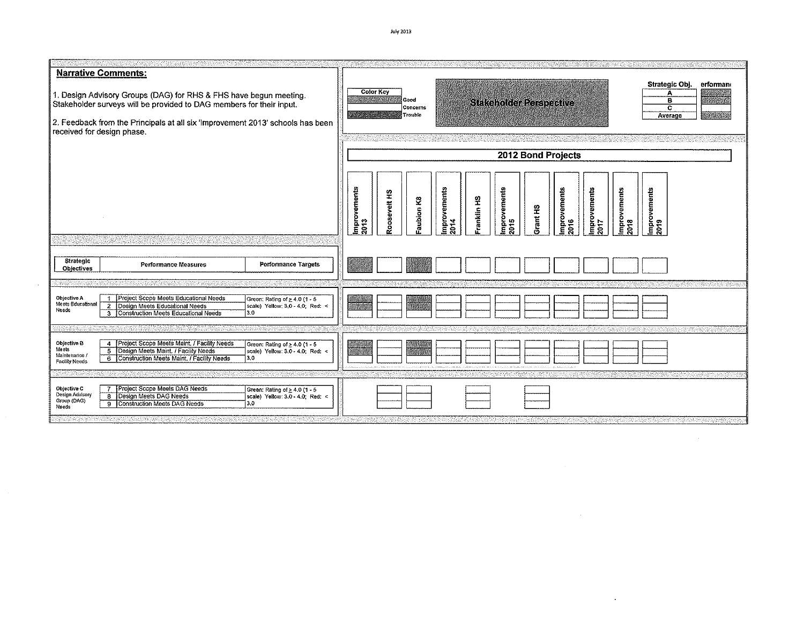**Narrative Comments:** Strategic Obj. erformant Color Key 1. Design Advisory Groups (DAG) for RHS & FHS have begun meeting.<br>Stakeholder surveys will be provided to DAG members for their input. А Good Ē **Stakeholder Perspective** Concerns  $\overline{\mathbf{c}}$ **Frouble** Average 2. Feedback from the Principals at all six 'Improvement 2013' schools has been received for design phase. 2012 Bond Projects **Improvements**<br>2013 Improvements<br>2018 İmprovements<br>2019 provements provements nprovements provements Roosevelt HS anklin<sub>HS</sub>  $\mathbf{g}$ aubion i Grant HS 015 54 016 Ξ Strategic **Performance Targets Performance Measures** Objectives 1 | Project Scope Meets Educational Needs<br>2 | Design Meets Educational Needs<br>3 | Construction Meets Educational Needs Objective A<br>Meets Educational<br>Needs Green: Rating of  $\geq 4.0$  (1 - 5<br>scale) Yellow; 3.0 - 4.0; Red: <  $3.0$ Objective B<br>Meets 4 Project Scope Meets Maint. / Facility Needs Green: Rating of  $\geq 4.0$  (1 - 5 5 Design Meets Maint. / Facility Needs scale) Yellow: 3.0 - 4.0, Red: < Maintenance / 6 Construction Meets Maint. / Facility Needs 13.0 Facility Needs 7 Project Scope Meets DAG Needs<br>8 Design Meets DAG Needs Objective C Green: Rating of ≥ 4.0 (1 - 5 Design Advisory<br>Group (DAG)<br>Needs scale) Yellow: 3.0 - 4.0, Red: < 9 Construction Meets DAG Needs 3.0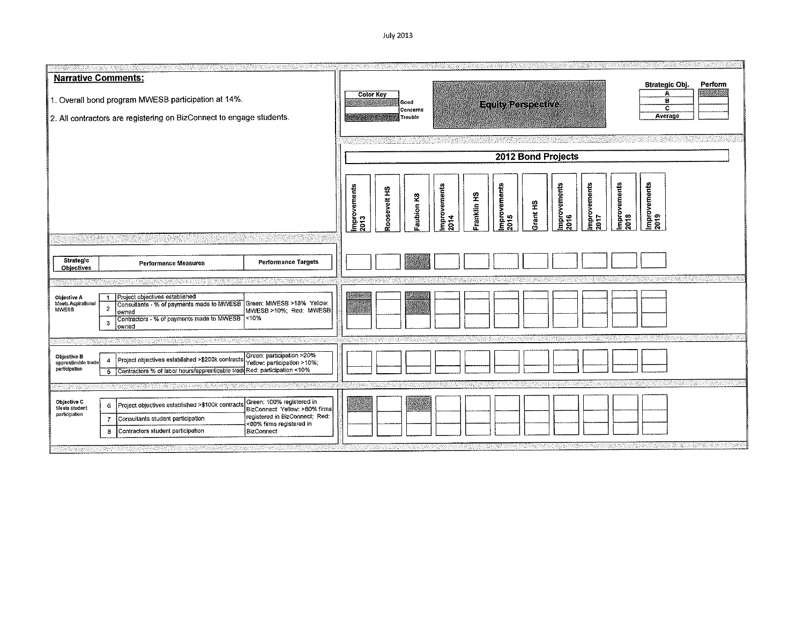July 2013

| <b>Narrative Comments:</b><br>1. Overall bond program MWESB participation at 14%.<br>2. All contractors are registering on BizConnect to engage students.                                                                                                                                                                                         |  | Strategic Obj.<br>Perform<br>Α<br><b>Color Key</b><br>в<br>Good<br><b>Equity Perspective</b><br>$\overline{\mathbf{c}}$<br>Concerns<br>Average<br>Trouble                                                                                |  |  |  |  |  |  |
|---------------------------------------------------------------------------------------------------------------------------------------------------------------------------------------------------------------------------------------------------------------------------------------------------------------------------------------------------|--|------------------------------------------------------------------------------------------------------------------------------------------------------------------------------------------------------------------------------------------|--|--|--|--|--|--|
|                                                                                                                                                                                                                                                                                                                                                   |  | 2012 Bond Projects                                                                                                                                                                                                                       |  |  |  |  |  |  |
|                                                                                                                                                                                                                                                                                                                                                   |  | mprovements<br>Improvements<br>2019<br>mprovements<br>Improvements<br>2017<br><b>Improvements</b><br>2015<br>Improvements<br>2014<br>Improvements<br>2013<br>Roosevelt HS<br>Franklin HS<br>Faubion K8<br><b>GH</b> hard<br>2018<br>2016 |  |  |  |  |  |  |
| Strategic<br><b>Performance Targets</b><br>Performance Measures<br><b>Objectives</b>                                                                                                                                                                                                                                                              |  |                                                                                                                                                                                                                                          |  |  |  |  |  |  |
|                                                                                                                                                                                                                                                                                                                                                   |  |                                                                                                                                                                                                                                          |  |  |  |  |  |  |
| Project objectives established<br>Objective A<br>Consultants - % of payments made to MWESB Green: MWESB >18% Yellow:<br>Meets Aspirational<br>$\mathbf{2}$<br>MWESB<br>MWESB >10%; Red: MWESB<br>owned<br>Contractors - % of payments made to MWESB <10%<br>$\mathbf{3}$<br>owned                                                                 |  |                                                                                                                                                                                                                                          |  |  |  |  |  |  |
|                                                                                                                                                                                                                                                                                                                                                   |  |                                                                                                                                                                                                                                          |  |  |  |  |  |  |
| Green; participation >20%<br>Objective B<br>Project objectives established >\$200k contracts<br>4<br>apprenticable trade<br>Yellow; participation >10%;<br>participation<br>5 Contractors % of labor hours/apprenticable tradd Red: participation <10%                                                                                            |  |                                                                                                                                                                                                                                          |  |  |  |  |  |  |
|                                                                                                                                                                                                                                                                                                                                                   |  |                                                                                                                                                                                                                                          |  |  |  |  |  |  |
| Green: 100% registered in<br>Objective C<br>Project objectives established >\$100k contracts<br>6<br>Meets student<br>BizConnect Yellow: >80% firms<br>participation<br>registered in BizConnect; Red:<br>Consultants student participation<br>$\overline{7}$<br><80% firms registered in<br>Contractors student participation<br>BizConnect<br>8 |  |                                                                                                                                                                                                                                          |  |  |  |  |  |  |
|                                                                                                                                                                                                                                                                                                                                                   |  |                                                                                                                                                                                                                                          |  |  |  |  |  |  |

 $\sim 10^{11}$  km s  $^{-1}$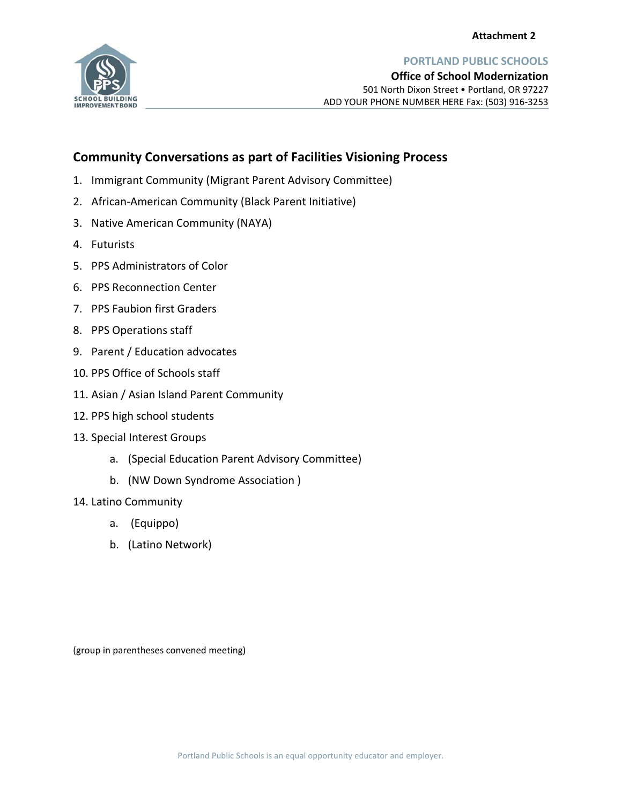

**PORTLAND PUBLIC SCHOOLS**

# **Community Conversations as part of Facilities Visioning Process**

- 1. Immigrant Community (Migrant Parent Advisory Committee)
- 2. African‐American Community (Black Parent Initiative)
- 3. Native American Community (NAYA)
- 4. Futurists
- 5. PPS Administrators of Color
- 6. PPS Reconnection Center
- 7. PPS Faubion first Graders
- 8. PPS Operations staff
- 9. Parent / Education advocates
- 10. PPS Office of Schools staff
- 11. Asian / Asian Island Parent Community
- 12. PPS high school students
- 13. Special Interest Groups
	- a. (Special Education Parent Advisory Committee)
	- b. (NW Down Syndrome Association )
- 14. Latino Community
	- a. (Equippo)
	- b. (Latino Network)

(group in parentheses convened meeting)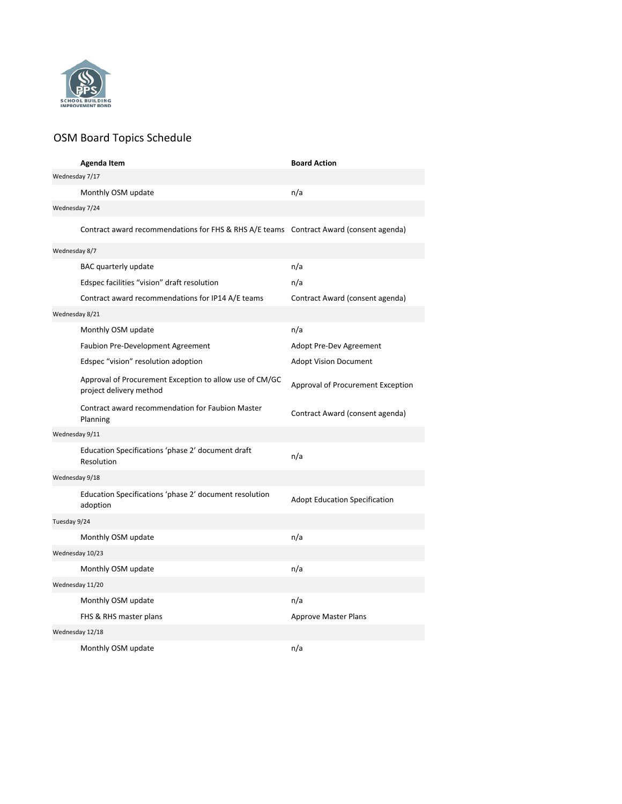

# OSM Board Topics Schedule

|                | Agenda Item                                                                            | <b>Board Action</b>                  |
|----------------|----------------------------------------------------------------------------------------|--------------------------------------|
| Wednesday 7/17 |                                                                                        |                                      |
|                | Monthly OSM update                                                                     | n/a                                  |
| Wednesday 7/24 |                                                                                        |                                      |
|                | Contract award recommendations for FHS & RHS A/E teams Contract Award (consent agenda) |                                      |
| Wednesday 8/7  |                                                                                        |                                      |
|                | BAC quarterly update                                                                   | n/a                                  |
|                | Edspec facilities "vision" draft resolution                                            | n/a                                  |
|                | Contract award recommendations for IP14 A/E teams                                      | Contract Award (consent agenda)      |
| Wednesday 8/21 |                                                                                        |                                      |
|                | Monthly OSM update                                                                     | n/a                                  |
|                | <b>Faubion Pre-Development Agreement</b>                                               | Adopt Pre-Dev Agreement              |
|                | Edspec "vision" resolution adoption                                                    | <b>Adopt Vision Document</b>         |
|                | Approval of Procurement Exception to allow use of CM/GC<br>project delivery method     | Approval of Procurement Exception    |
|                | Contract award recommendation for Faubion Master<br>Planning                           | Contract Award (consent agenda)      |
| Wednesday 9/11 |                                                                                        |                                      |
|                | Education Specifications 'phase 2' document draft<br>Resolution                        | n/a                                  |
| Wednesday 9/18 |                                                                                        |                                      |
|                | Education Specifications 'phase 2' document resolution<br>adoption                     | <b>Adopt Education Specification</b> |
| Tuesday 9/24   |                                                                                        |                                      |
|                | Monthly OSM update                                                                     | n/a                                  |
|                | Wednesday 10/23                                                                        |                                      |
|                | Monthly OSM update                                                                     | n/a                                  |
|                | Wednesday 11/20                                                                        |                                      |
|                | Monthly OSM update                                                                     | n/a                                  |
|                | FHS & RHS master plans                                                                 | <b>Approve Master Plans</b>          |
|                | Wednesday 12/18                                                                        |                                      |
|                | Monthly OSM update                                                                     | n/a                                  |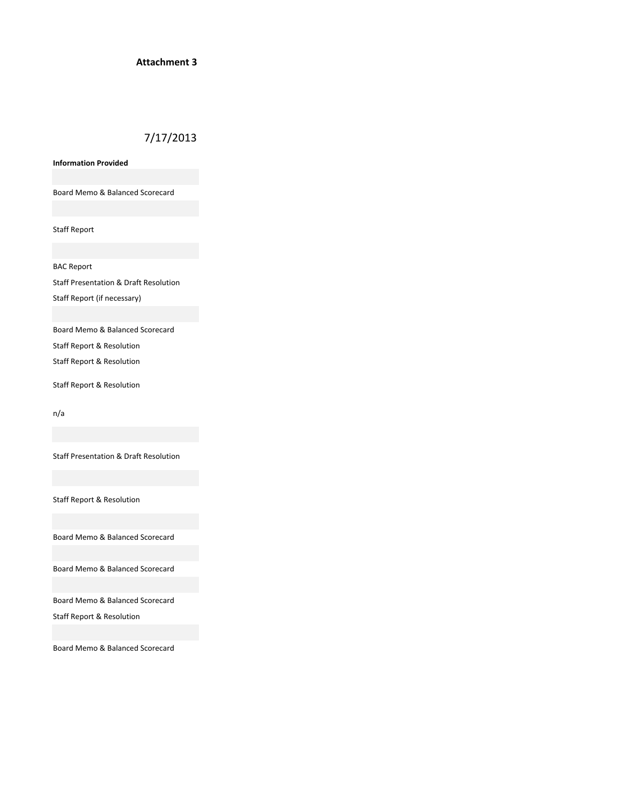### **Attachment 3**

# 7/17/2013

**Information Provided**

Board Memo & Balanced Scorecard

Staff Report

BAC Report

Staff Presentation & Draft Resolution Staff Report (if necessary)

Board Memo & Balanced Scorecard

Staff Report & Resolution

Staff Report & Resolution

Staff Report & Resolution

n/a

Staff Presentation & Draft Resolution

Staff Report & Resolution

Board Memo & Balanced Scorecard

Board Memo & Balanced Scorecard

Board Memo & Balanced Scorecard

Staff Report & Resolution

Board Memo & Balanced Scorecard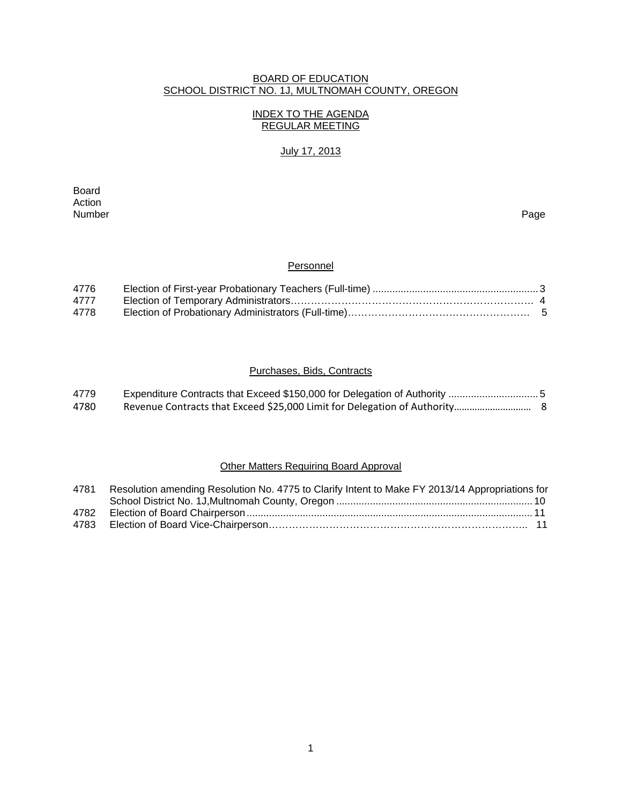## BOARD OF EDUCATION SCHOOL DISTRICT NO. 1J, MULTNOMAH COUNTY, OREGON

## INDEX TO THE AGENDA REGULAR MEETING

# July 17, 2013

**Board Board** Action<br>Number Number Page

## **Personnel**

| 4776 |  |
|------|--|
| 4777 |  |
| 4778 |  |

# Purchases, Bids, Contracts

| 4779 |  |
|------|--|
| 4780 |  |

# Other Matters Requiring Board Approval

| 4781 | Resolution amending Resolution No. 4775 to Clarify Intent to Make FY 2013/14 Appropriations for |  |
|------|-------------------------------------------------------------------------------------------------|--|
|      |                                                                                                 |  |
| 4782 |                                                                                                 |  |
| 4783 |                                                                                                 |  |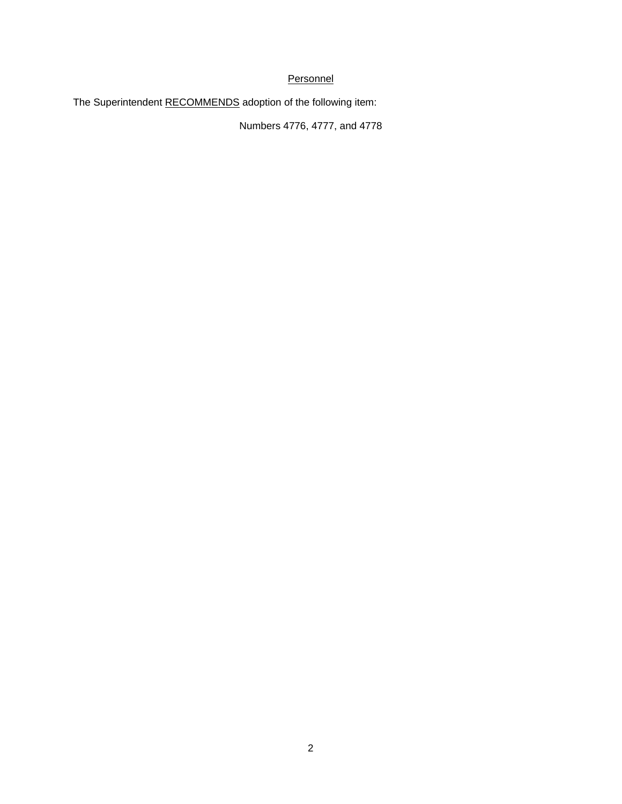# **Personnel**

The Superintendent RECOMMENDS adoption of the following item:

Numbers 4776, 4777, and 4778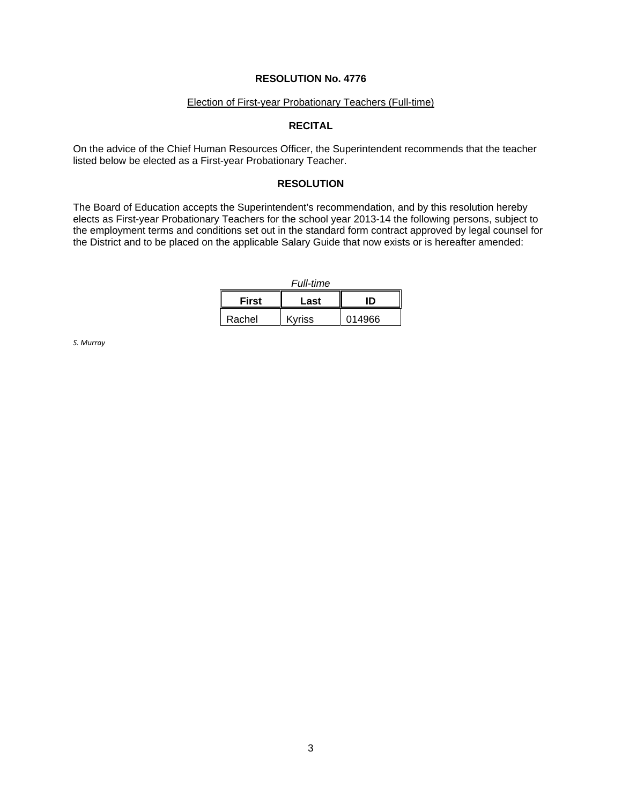#### Election of First-year Probationary Teachers (Full-time)

## **RECITAL**

On the advice of the Chief Human Resources Officer, the Superintendent recommends that the teacher listed below be elected as a First-year Probationary Teacher.

### **RESOLUTION**

The Board of Education accepts the Superintendent's recommendation, and by this resolution hereby elects as First-year Probationary Teachers for the school year 2013-14 the following persons, subject to the employment terms and conditions set out in the standard form contract approved by legal counsel for the District and to be placed on the applicable Salary Guide that now exists or is hereafter amended:

*Full-time*

| <b>First</b> | Last   | חו     |
|--------------|--------|--------|
| Rachel       | Kvriss | 014966 |

*S. Murray*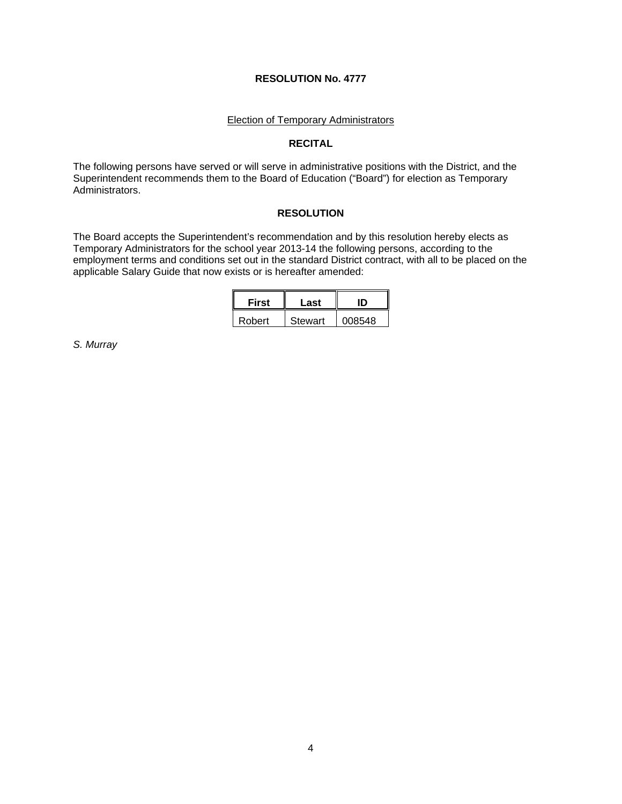#### Election of Temporary Administrators

### **RECITAL**

The following persons have served or will serve in administrative positions with the District, and the Superintendent recommends them to the Board of Education ("Board") for election as Temporary Administrators.

## **RESOLUTION**

The Board accepts the Superintendent's recommendation and by this resolution hereby elects as Temporary Administrators for the school year 2013-14 the following persons, according to the employment terms and conditions set out in the standard District contract, with all to be placed on the applicable Salary Guide that now exists or is hereafter amended:

| <b>First</b> | Last    |        |  |
|--------------|---------|--------|--|
| Robert       | Stewart | 008548 |  |

*S. Murray*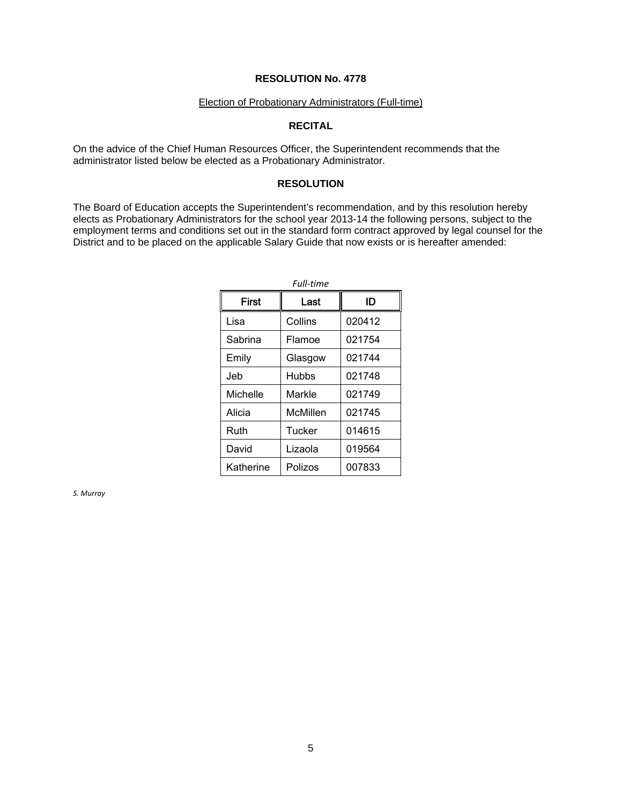## Election of Probationary Administrators (Full-time)

# **RECITAL**

On the advice of the Chief Human Resources Officer, the Superintendent recommends that the administrator listed below be elected as a Probationary Administrator.

### **RESOLUTION**

The Board of Education accepts the Superintendent's recommendation, and by this resolution hereby elects as Probationary Administrators for the school year 2013-14 the following persons, subject to the employment terms and conditions set out in the standard form contract approved by legal counsel for the District and to be placed on the applicable Salary Guide that now exists or is hereafter amended:

| Full-time    |              |        |  |  |
|--------------|--------------|--------|--|--|
| <b>First</b> | Last         | חו     |  |  |
| Lisa         | Collins      | 020412 |  |  |
| Sabrina      | Flamoe       | 021754 |  |  |
| Emily        | Glasgow      | 021744 |  |  |
| Jeb          | <b>Hubbs</b> | 021748 |  |  |
| Michelle     | Markle       | 021749 |  |  |
| Alicia       | McMillen     | 021745 |  |  |
| Ruth         | Tucker       | 014615 |  |  |
| David        | Lizaola      | 019564 |  |  |
| Katherine    | Polizos      | 007833 |  |  |

*S. Murray*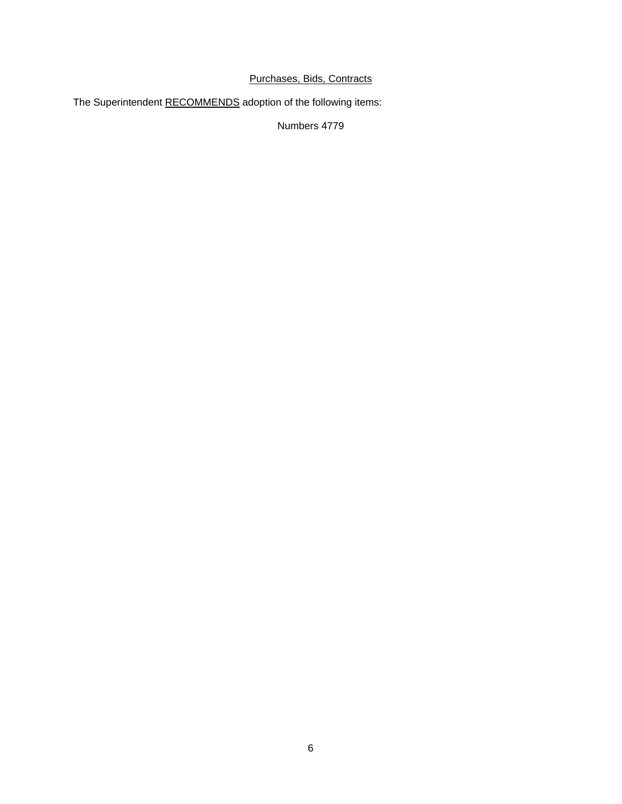# Purchases, Bids, Contracts

The Superintendent RECOMMENDS adoption of the following items:

Numbers 4779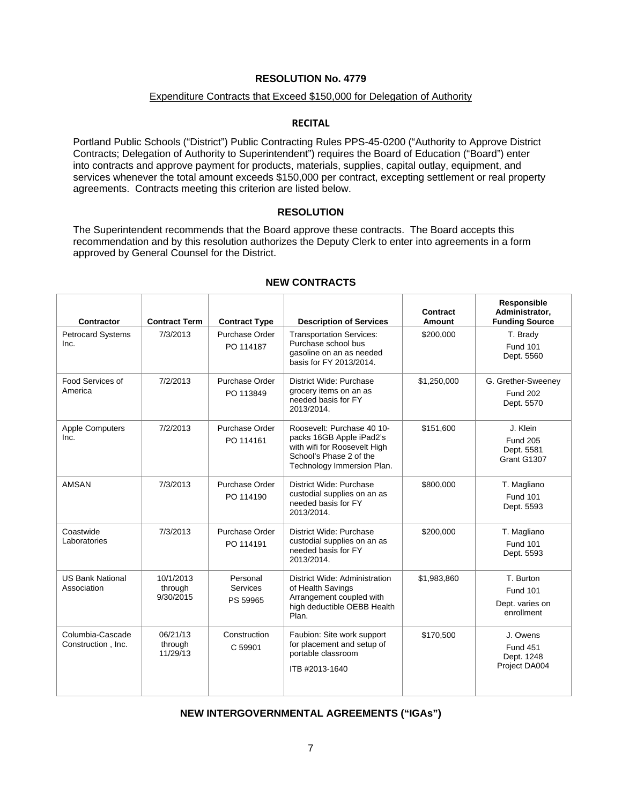## Expenditure Contracts that Exceed \$150,000 for Delegation of Authority

## **RECITAL**

Portland Public Schools ("District") Public Contracting Rules PPS-45-0200 ("Authority to Approve District Contracts; Delegation of Authority to Superintendent") requires the Board of Education ("Board") enter into contracts and approve payment for products, materials, supplies, capital outlay, equipment, and services whenever the total amount exceeds \$150,000 per contract, excepting settlement or real property agreements. Contracts meeting this criterion are listed below.

### **RESOLUTION**

The Superintendent recommends that the Board approve these contracts. The Board accepts this recommendation and by this resolution authorizes the Deputy Clerk to enter into agreements in a form approved by General Counsel for the District.

| <b>Contractor</b>                      | <b>Contract Term</b>              | <b>Contract Type</b>                    | <b>Description of Services</b>                                                                                                                  | <b>Contract</b><br><b>Amount</b> | Responsible<br>Administrator,<br><b>Funding Source</b>        |
|----------------------------------------|-----------------------------------|-----------------------------------------|-------------------------------------------------------------------------------------------------------------------------------------------------|----------------------------------|---------------------------------------------------------------|
| <b>Petrocard Systems</b><br>Inc.       | 7/3/2013                          | Purchase Order<br>PO 114187             | <b>Transportation Services:</b><br>Purchase school bus<br>gasoline on an as needed<br>basis for FY 2013/2014.                                   | \$200,000                        | T. Brady<br><b>Fund 101</b><br>Dept. 5560                     |
| Food Services of<br>America            | 7/2/2013                          | Purchase Order<br>PO 113849             | District Wide: Purchase<br>grocery items on an as<br>needed basis for FY<br>2013/2014.                                                          | \$1,250,000                      | G. Grether-Sweeney<br><b>Fund 202</b><br>Dept. 5570           |
| <b>Apple Computers</b><br>Inc.         | 7/2/2013                          | Purchase Order<br>PO 114161             | Roosevelt: Purchase 40 10-<br>packs 16GB Apple iPad2's<br>with wifi for Roosevelt High<br>School's Phase 2 of the<br>Technology Immersion Plan. | \$151,600                        | J. Klein<br><b>Fund 205</b><br>Dept. 5581<br>Grant G1307      |
| <b>AMSAN</b>                           | 7/3/2013                          | Purchase Order<br>PO 114190             | District Wide: Purchase<br>custodial supplies on an as<br>needed basis for FY<br>2013/2014.                                                     | \$800,000                        | T. Magliano<br><b>Fund 101</b><br>Dept. 5593                  |
| Coastwide<br>Laboratories              | 7/3/2013                          | Purchase Order<br>PO 114191             | District Wide: Purchase<br>custodial supplies on an as<br>needed basis for FY<br>2013/2014.                                                     | \$200,000                        | T. Magliano<br><b>Fund 101</b><br>Dept. 5593                  |
| <b>US Bank National</b><br>Association | 10/1/2013<br>through<br>9/30/2015 | Personal<br><b>Services</b><br>PS 59965 | District Wide: Administration<br>of Health Savings<br>Arrangement coupled with<br>high deductible OEBB Health<br>Plan.                          | \$1,983,860                      | T. Burton<br><b>Fund 101</b><br>Dept. varies on<br>enrollment |
| Columbia-Cascade<br>Construction, Inc. | 06/21/13<br>through<br>11/29/13   | Construction<br>C 59901                 | Faubion: Site work support<br>for placement and setup of<br>portable classroom<br>ITB #2013-1640                                                | \$170,500                        | J. Owens<br><b>Fund 451</b><br>Dept. 1248<br>Project DA004    |

## **NEW CONTRACTS**

### **NEW INTERGOVERNMENTAL AGREEMENTS ("IGAs")**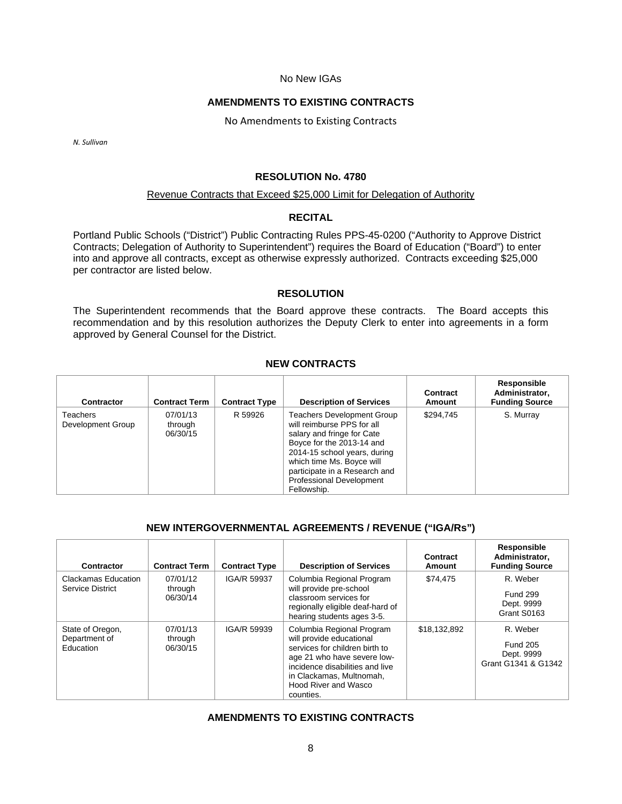### No New IGAs

### **AMENDMENTS TO EXISTING CONTRACTS**

No Amendments to Existing Contracts

*N. Sullivan*

#### **RESOLUTION No. 4780**

#### Revenue Contracts that Exceed \$25,000 Limit for Delegation of Authority

## **RECITAL**

Portland Public Schools ("District") Public Contracting Rules PPS-45-0200 ("Authority to Approve District Contracts; Delegation of Authority to Superintendent") requires the Board of Education ("Board") to enter into and approve all contracts, except as otherwise expressly authorized. Contracts exceeding \$25,000 per contractor are listed below.

## **RESOLUTION**

The Superintendent recommends that the Board approve these contracts. The Board accepts this recommendation and by this resolution authorizes the Deputy Clerk to enter into agreements in a form approved by General Counsel for the District.

# **NEW CONTRACTS**

| Contractor                    | <b>Contract Term</b>            | <b>Contract Type</b> | <b>Description of Services</b>                                                                                                                                                                                                                                             | Contract<br>Amount | Responsible<br>Administrator.<br><b>Funding Source</b> |
|-------------------------------|---------------------------------|----------------------|----------------------------------------------------------------------------------------------------------------------------------------------------------------------------------------------------------------------------------------------------------------------------|--------------------|--------------------------------------------------------|
| Teachers<br>Development Group | 07/01/13<br>through<br>06/30/15 | R 59926              | <b>Teachers Development Group</b><br>will reimburse PPS for all<br>salary and fringe for Cate<br>Boyce for the 2013-14 and<br>2014-15 school years, during<br>which time Ms. Boyce will<br>participate in a Research and<br><b>Professional Development</b><br>Fellowship. | \$294.745          | S. Murray                                              |

# **NEW INTERGOVERNMENTAL AGREEMENTS / REVENUE ("IGA/Rs")**

| Contractor                                     | <b>Contract Term</b>            | <b>Contract Type</b> | <b>Description of Services</b>                                                                                                                                                                                             | Contract<br>Amount | Responsible<br>Administrator,<br><b>Funding Source</b>           |
|------------------------------------------------|---------------------------------|----------------------|----------------------------------------------------------------------------------------------------------------------------------------------------------------------------------------------------------------------------|--------------------|------------------------------------------------------------------|
| Clackamas Education<br>Service District        | 07/01/12<br>through<br>06/30/14 | IGA/R 59937          | Columbia Regional Program<br>will provide pre-school<br>classroom services for<br>regionally eligible deaf-hard of<br>hearing students ages 3-5.                                                                           | \$74.475           | R. Weber<br><b>Fund 299</b><br>Dept. 9999<br>Grant S0163         |
| State of Oregon,<br>Department of<br>Education | 07/01/13<br>through<br>06/30/15 | IGA/R 59939          | Columbia Regional Program<br>will provide educational<br>services for children birth to<br>age 21 who have severe low-<br>incidence disabilities and live<br>in Clackamas, Multnomah,<br>Hood River and Wasco<br>counties. | \$18,132,892       | R. Weber<br><b>Fund 205</b><br>Dept. 9999<br>Grant G1341 & G1342 |

## **AMENDMENTS TO EXISTING CONTRACTS**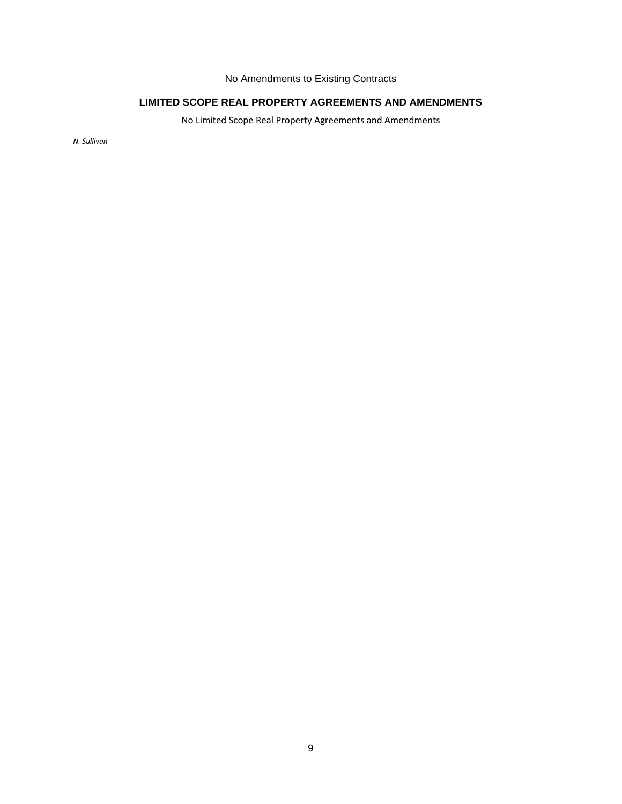# No Amendments to Existing Contracts

# **LIMITED SCOPE REAL PROPERTY AGREEMENTS AND AMENDMENTS**

No Limited Scope Real Property Agreements and Amendments

*N. Sullivan*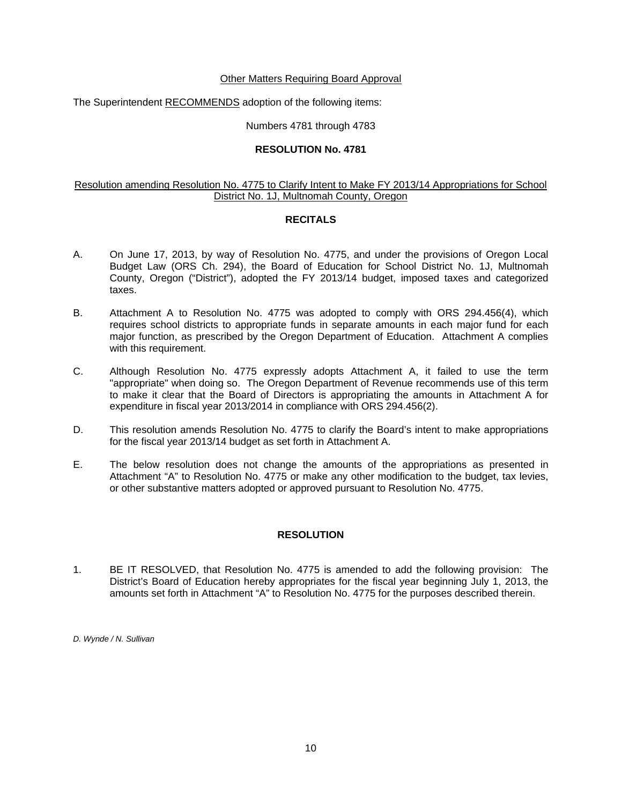### Other Matters Requiring Board Approval

The Superintendent RECOMMENDS adoption of the following items:

Numbers 4781 through 4783

### **RESOLUTION No. 4781**

## Resolution amending Resolution No. 4775 to Clarify Intent to Make FY 2013/14 Appropriations for School District No. 1J, Multnomah County, Oregon

### **RECITALS**

- A. On June 17, 2013, by way of Resolution No. 4775, and under the provisions of Oregon Local Budget Law (ORS Ch. 294), the Board of Education for School District No. 1J, Multnomah County, Oregon ("District"), adopted the FY 2013/14 budget, imposed taxes and categorized taxes.
- B. Attachment A to Resolution No. 4775 was adopted to comply with ORS 294.456(4), which requires school districts to appropriate funds in separate amounts in each major fund for each major function, as prescribed by the Oregon Department of Education. Attachment A complies with this requirement.
- C. Although Resolution No. 4775 expressly adopts Attachment A, it failed to use the term "appropriate" when doing so. The Oregon Department of Revenue recommends use of this term to make it clear that the Board of Directors is appropriating the amounts in Attachment A for expenditure in fiscal year 2013/2014 in compliance with ORS 294.456(2).
- D. This resolution amends Resolution No. 4775 to clarify the Board's intent to make appropriations for the fiscal year 2013/14 budget as set forth in Attachment A.
- E. The below resolution does not change the amounts of the appropriations as presented in Attachment "A" to Resolution No. 4775 or make any other modification to the budget, tax levies, or other substantive matters adopted or approved pursuant to Resolution No. 4775.

### **RESOLUTION**

1. BE IT RESOLVED, that Resolution No. 4775 is amended to add the following provision: The District's Board of Education hereby appropriates for the fiscal year beginning July 1, 2013, the amounts set forth in Attachment "A" to Resolution No. 4775 for the purposes described therein.

*D. Wynde / N. Sullivan*